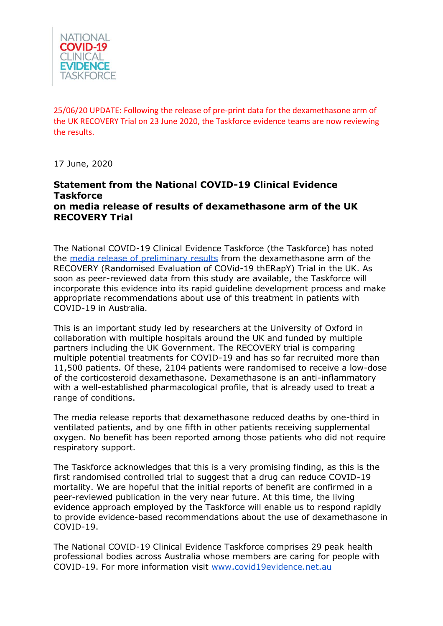

25/06/20 UPDATE: Following the release of pre-print data for the dexamethasone arm of the UK RECOVERY Trial on 23 June 2020, the Taskforce evidence teams are now reviewing the results.

17 June, 2020

## **Statement from the National COVID-19 Clinical Evidence Taskforce on media release of results of dexamethasone arm of the UK RECOVERY Trial**

The National COVID-19 Clinical Evidence Taskforce (the Taskforce) has noted the [media release of preliminary results](https://www.recoverytrial.net/files/recovery_dexamethasone_statement_160620_v2final.pdf) from the dexamethasone arm of the RECOVERY (Randomised Evaluation of COVid-19 thERapY) Trial in the UK. As soon as peer-reviewed data from this study are available, the Taskforce will incorporate this evidence into its rapid guideline development process and make appropriate recommendations about use of this treatment in patients with COVID-19 in Australia.

This is an important study led by researchers at the University of Oxford in collaboration with multiple hospitals around the UK and funded by multiple partners including the UK Government. The RECOVERY trial is comparing multiple potential treatments for COVID-19 and has so far recruited more than 11,500 patients. Of these, 2104 patients were randomised to receive a low-dose of the corticosteroid dexamethasone. Dexamethasone is an anti-inflammatory with a well-established pharmacological profile, that is already used to treat a range of conditions.

The media release reports that dexamethasone reduced deaths by one-third in ventilated patients, and by one fifth in other patients receiving supplemental oxygen. No benefit has been reported among those patients who did not require respiratory support.

The Taskforce acknowledges that this is a very promising finding, as this is the first randomised controlled trial to suggest that a drug can reduce COVID-19 mortality. We are hopeful that the initial reports of benefit are confirmed in a peer-reviewed publication in the very near future. At this time, the living evidence approach employed by the Taskforce will enable us to respond rapidly to provide evidence-based recommendations about the use of dexamethasone in COVID-19.

The National COVID-19 Clinical Evidence Taskforce comprises 29 peak health professional bodies across Australia whose members are caring for people with COVID-19. For more information visit [www.covid19evidence.net.au](http://www.covid19evidence.net.au/)